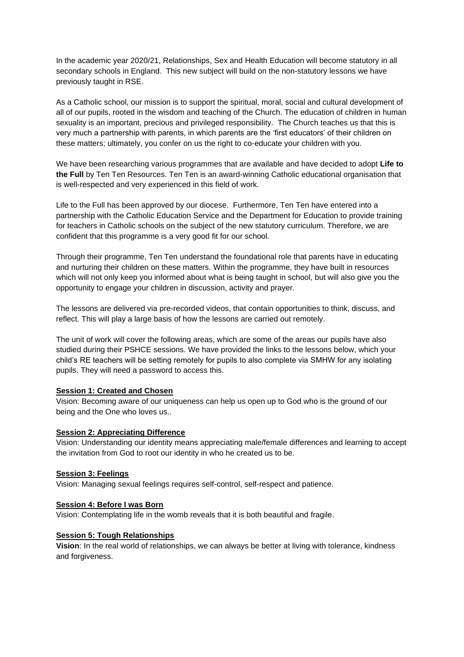In the academic year 2020/21, Relationships, Sex and Health Education will become statutory in all secondary schools in England. This new subject will build on the non-statutory lessons we have previously taught in RSE.

As a Catholic school, our mission is to support the spiritual, moral, social and cultural development of all of our pupils, rooted in the wisdom and teaching of the Church. The education of children in human sexuality is an important, precious and privileged responsibility. The Church teaches us that this is very much a partnership with parents, in which parents are the 'first educators' of their children on these matters; ultimately, you confer on us the right to co-educate your children with you.

We have been researching various programmes that are available and have decided to adopt **Life to the Full** by Ten Ten Resources. Ten Ten is an award-winning Catholic educational organisation that is well-respected and very experienced in this field of work.

Life to the Full has been approved by our diocese. Furthermore, Ten Ten have entered into a partnership with the Catholic Education Service and the Department for Education to provide training for teachers in Catholic schools on the subject of the new statutory curriculum. Therefore, we are confident that this programme is a very good fit for our school.

Through their programme, Ten Ten understand the foundational role that parents have in educating and nurturing their children on these matters. Within the programme, they have built in resources which will not only keep you informed about what is being taught in school, but will also give you the opportunity to engage your children in discussion, activity and prayer.

The lessons are delivered via pre-recorded videos, that contain opportunities to think, discuss, and reflect. This will play a large basis of how the lessons are carried out remotely.

The unit of work will cover the following areas, which are some of the areas our pupils have also studied during their PSHCE sessions. We have provided the links to the lessons below, which your child's RE teachers will be setting remotely for pupils to also complete via SMHW for any isolating pupils. They will need a password to access this.

## **Session 1: Created and Chosen**

Vision: Becoming aware of our uniqueness can help us open up to God who is the ground of our being and the One who loves us..

## **Session 2: Appreciating Difference**

Vision: Understanding our identity means appreciating male/female differences and learning to accept the invitation from God to root our identity in who he created us to be.

#### **Session 3: Feelings**

Vision: Managing sexual feelings requires self-control, self-respect and patience.

#### **Session 4: Before I was Born**

Vision: Contemplating life in the womb reveals that it is both beautiful and fragile.

#### **Session 5: Tough Relationships**

**Vision**: In the real world of relationships, we can always be better at living with tolerance, kindness and forgiveness.